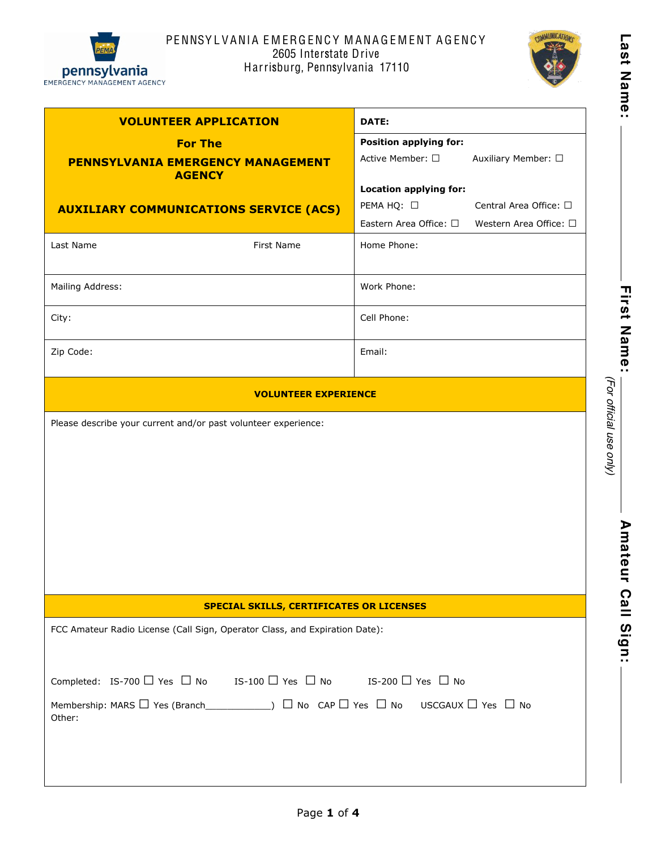

# PENNSY L VANIA EMERGENCY MANAGEMENT AGENCY 2605 Interstate Drive Harrisburg, Pennsylvania 17110



| <b>VOLUNTEER APPLICATION</b>                                                                                                        |            | DATE:                         |                                |
|-------------------------------------------------------------------------------------------------------------------------------------|------------|-------------------------------|--------------------------------|
| <b>For The</b>                                                                                                                      |            | <b>Position applying for:</b> |                                |
| <b>PENNSYLVANIA EMERGENCY MANAGEMENT</b><br><b>AGENCY</b>                                                                           |            | Active Member: □              | Auxiliary Member: □            |
|                                                                                                                                     |            | <b>Location applying for:</b> |                                |
| <b>AUXILIARY COMMUNICATIONS SERVICE (ACS)</b>                                                                                       |            | PEMA HQ: □                    | Central Area Office: □         |
|                                                                                                                                     |            | Eastern Area Office: $\Box$   | Western Area Office: $\square$ |
| Last Name                                                                                                                           | First Name | Home Phone:                   |                                |
| Mailing Address:                                                                                                                    |            | Work Phone:                   |                                |
| City:                                                                                                                               |            | Cell Phone:                   |                                |
| Zip Code:                                                                                                                           |            | Email:                        |                                |
| <b>VOLUNTEER EXPERIENCE</b>                                                                                                         |            |                               |                                |
| Please describe your current and/or past volunteer experience:                                                                      |            |                               |                                |
| <b>SPECIAL SKILLS, CERTIFICATES OR LICENSES</b>                                                                                     |            |                               |                                |
| FCC Amateur Radio License (Call Sign, Operator Class, and Expiration Date):                                                         |            |                               |                                |
| Completed: IS-700 $\Box$ Yes $\Box$ No IS-100 $\Box$ Yes $\Box$ No IS-200 $\Box$ Yes $\Box$ No                                      |            |                               |                                |
| Membership: MARS $\Box$ Yes (Branch_______________) $\Box$ No $\Box$ Yes $\Box$ No $\Box$ No USCGAUX $\Box$ Yes $\Box$ No<br>Other: |            |                               |                                |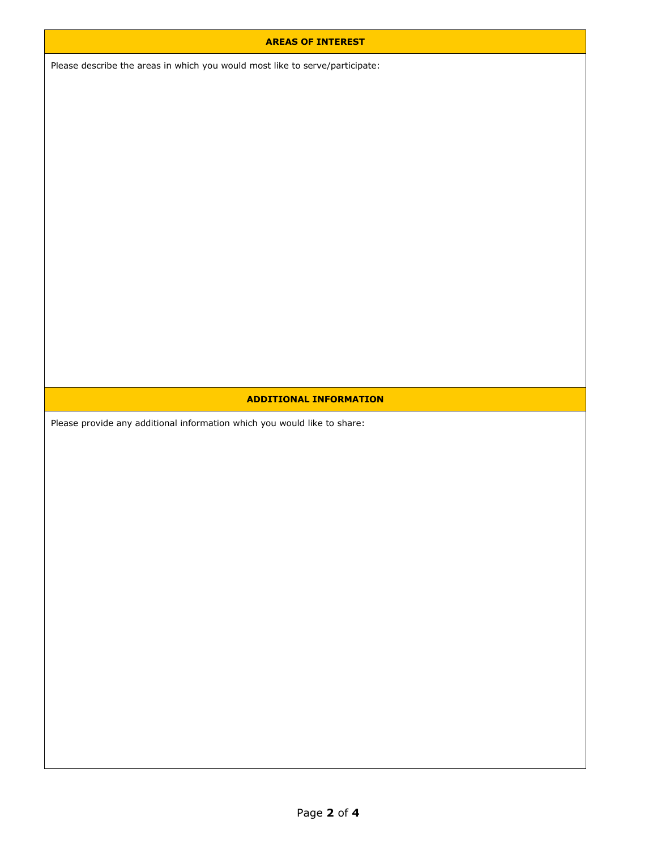### **AREAS OF INTEREST**

Please describe the areas in which you would most like to serve/participate:

## **ADDITIONAL INFORMATION**

Please provide any additional information which you would like to share: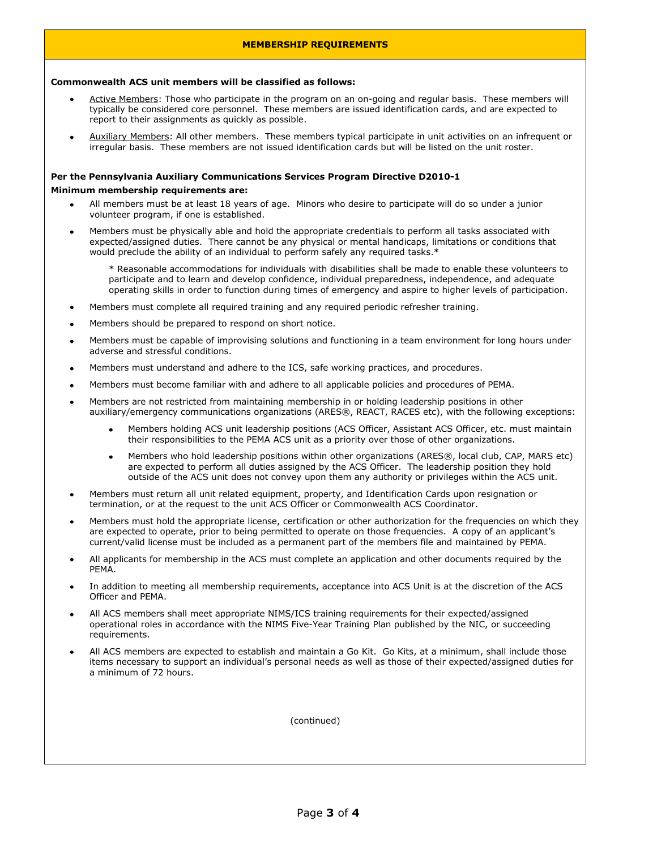### **MEMBERSHIP REQUIREMENTS**

#### **Commonwealth ACS unit members will be classified as follows:**

- Active Members: Those who participate in the program on an on-going and regular basis. These members will typically be considered core personnel. These members are issued identification cards, and are expected to report to their assignments as quickly as possible.
- Auxiliary Members: All other members. These members typical participate in unit activities on an infrequent or irregular basis. These members are not issued identification cards but will be listed on the unit roster.

## **Per the Pennsylvania Auxiliary Communications Services Program Directive D20101**

#### **Minimum membership requirements are:**

- All members must be at least 18 years of age. Minors who desire to participate will do so under a junior volunteer program, if one is established.
- Members must be physically able and hold the appropriate credentials to perform all tasks associated with expected/assigned duties. There cannot be any physical or mental handicaps, limitations or conditions that would preclude the ability of an individual to perform safely any required tasks.\*

\* Reasonable accommodations for individuals with disabilities shall be made to enable these volunteers to participate and to learn and develop confidence, individual preparedness, independence, and adequate operating skills in order to function during times of emergency and aspire to higher levels of participation.

- Members must complete all required training and any required periodic refresher training.
- Members should be prepared to respond on short notice.
- Members must be capable of improvising solutions and functioning in a team environment for long hours under adverse and stressful conditions.
- Members must understand and adhere to the ICS, safe working practices, and procedures.
- Members must become familiar with and adhere to all applicable policies and procedures of PEMA.
- Members are not restricted from maintaining membership in or holding leadership positions in other auxiliary/emergency communications organizations (ARES®, REACT, RACES etc), with the following exceptions:
	- Members holding ACS unit leadership positions (ACS Officer, Assistant ACS Officer, etc. must maintain their responsibilities to the PEMA ACS unit as a priority over those of other organizations.
	- Members who hold leadership positions within other organizations (ARES®, local club, CAP, MARS etc) are expected to perform all duties assigned by the ACS Officer. The leadership position they hold outside of the ACS unit does not convey upon them any authority or privileges within the ACS unit.
- Members must return all unit related equipment, property, and Identification Cards upon resignation or termination, or at the request to the unit ACS Officer or Commonwealth ACS Coordinator.
- Members must hold the appropriate license, certification or other authorization for the frequencies on which they are expected to operate, prior to being permitted to operate on those frequencies. A copy of an applicant's current/valid license must be included as a permanent part of the members file and maintained by PEMA.
- All applicants for membership in the ACS must complete an application and other documents required by the PEMA.
- In addition to meeting all membership requirements, acceptance into ACS Unit is at the discretion of the ACS Officer and PEMA.
- All ACS members shall meet appropriate NIMS/ICS training requirements for their expected/assigned operational roles in accordance with the NIMS Five-Year Training Plan published by the NIC, or succeeding requirements.
- All ACS members are expected to establish and maintain a Go Kit. Go Kits, at a minimum, shall include those items necessary to support an individual's personal needs as well as those of their expected/assigned duties for a minimum of 72 hours.

(continued)